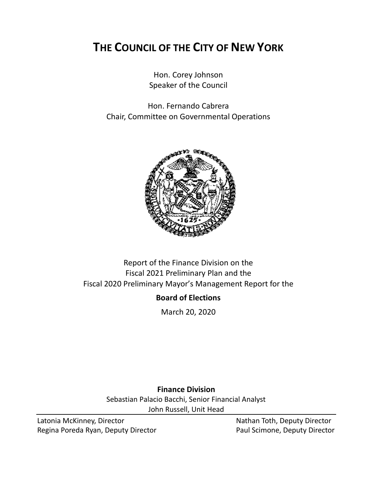# **THE COUNCIL OF THE CITY OF NEW YORK**

Hon. Corey Johnson Speaker of the Council

Hon. Fernando Cabrera Chair, Committee on Governmental Operations



# Report of the Finance Division on the Fiscal 2021 Preliminary Plan and the Fiscal 2020 Preliminary Mayor's Management Report for the

# **Board of Elections**

March 20, 2020

**Finance Division** Sebastian Palacio Bacchi, Senior Financial Analyst John Russell, Unit Head

Latonia McKinney, Director Nathan Toth, Deputy Director Regina Poreda Ryan, Deputy Director **Paul Scimone, Deputy Director**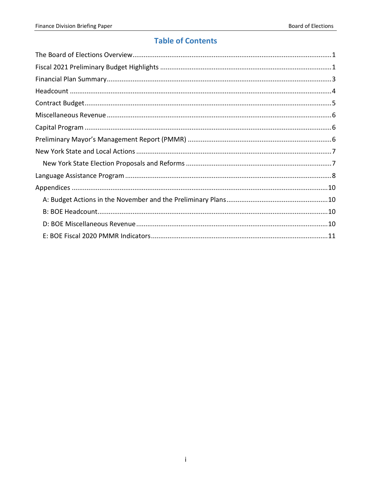# **Table of Contents**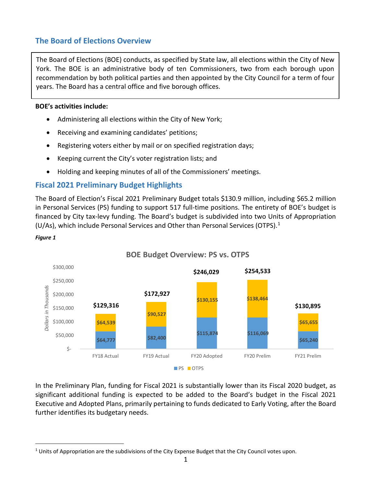# <span id="page-2-0"></span>**The Board of Elections Overview**

The Board of Elections (BOE) conducts, as specified by State law, all elections within the City of New York. The BOE is an administrative body of ten Commissioners, two from each borough upon recommendation by both political parties and then appointed by the City Council for a term of four years. The Board has a central office and five borough offices.

#### **BOE's activities include:**

*Figure 1*

- Administering all elections within the City of New York;
- Receiving and examining candidates' petitions;
- Registering voters either by mail or on specified registration days;
- Keeping current the City's voter registration lists; and
- Holding and keeping minutes of all of the Commissioners' meetings.

# <span id="page-2-1"></span>**Fiscal 2021 Preliminary Budget Highlights**

The Board of Election's Fiscal 2021 Preliminary Budget totals \$130.9 million, including \$65.2 million in Personal Services (PS) funding to support 517 full-time positions. The entirety of BOE's budget is financed by City tax-levy funding. The Board's budget is subdivided into two Units of Appropriation (U/As), which include Personal Services and Other than Personal Services (OTPS).[1](#page-2-2)



### **BOE Budget Overview: PS vs. OTPS**

In the Preliminary Plan, funding for Fiscal 2021 is substantially lower than its Fiscal 2020 budget, as significant additional funding is expected to be added to the Board's budget in the Fiscal 2021 Executive and Adopted Plans, primarily pertaining to funds dedicated to Early Voting, after the Board further identifies its budgetary needs.

<span id="page-2-2"></span><sup>&</sup>lt;sup>1</sup> Units of Appropriation are the subdivisions of the City Expense Budget that the City Council votes upon.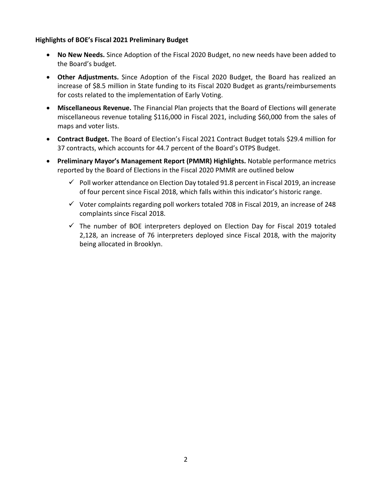#### **Highlights of BOE's Fiscal 2021 Preliminary Budget**

- **No New Needs.** Since Adoption of the Fiscal 2020 Budget, no new needs have been added to the Board's budget.
- **Other Adjustments.** Since Adoption of the Fiscal 2020 Budget, the Board has realized an increase of \$8.5 million in State funding to its Fiscal 2020 Budget as grants/reimbursements for costs related to the implementation of Early Voting.
- **Miscellaneous Revenue.** The Financial Plan projects that the Board of Elections will generate miscellaneous revenue totaling \$116,000 in Fiscal 2021, including \$60,000 from the sales of maps and voter lists.
- **Contract Budget.** The Board of Election's Fiscal 2021 Contract Budget totals \$29.4 million for 37 contracts, which accounts for 44.7 percent of the Board's OTPS Budget.
- **Preliminary Mayor's Management Report (PMMR) Highlights.** Notable performance metrics reported by the Board of Elections in the Fiscal 2020 PMMR are outlined below
	- $\checkmark$  Poll worker attendance on Election Day totaled 91.8 percent in Fiscal 2019, an increase of four percent since Fiscal 2018, which falls within this indicator's historic range.
	- $\checkmark$  Voter complaints regarding poll workers totaled 708 in Fiscal 2019, an increase of 248 complaints since Fiscal 2018.
	- $\checkmark$  The number of BOE interpreters deployed on Election Day for Fiscal 2019 totaled 2,128, an increase of 76 interpreters deployed since Fiscal 2018, with the majority being allocated in Brooklyn.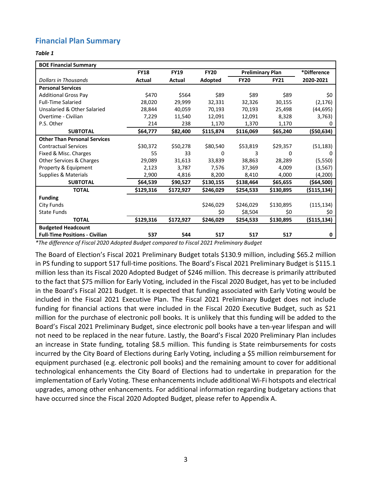# <span id="page-4-0"></span>**Financial Plan Summary**

#### *Table 1*

| <b>BOE Financial Summary</b>          |             |             |             |                         |             |               |
|---------------------------------------|-------------|-------------|-------------|-------------------------|-------------|---------------|
|                                       | <b>FY18</b> | <b>FY19</b> | <b>FY20</b> | <b>Preliminary Plan</b> |             | *Difference   |
| <b>Dollars in Thousands</b>           | Actual      | Actual      | Adopted     | <b>FY20</b>             | <b>FY21</b> | 2020-2021     |
| <b>Personal Services</b>              |             |             |             |                         |             |               |
| <b>Additional Gross Pay</b>           | \$470       | \$564       | \$89        | \$89                    | \$89        | \$0           |
| <b>Full-Time Salaried</b>             | 28,020      | 29,999      | 32,331      | 32,326                  | 30,155      | (2, 176)      |
| Unsalaried & Other Salaried           | 28,844      | 40,059      | 70,193      | 70,193                  | 25,498      | (44, 695)     |
| Overtime - Civilian                   | 7,229       | 11,540      | 12,091      | 12,091                  | 8,328       | 3,763)        |
| P.S. Other                            | 214         | 238         | 1,170       | 1,370                   | 1,170       | 0             |
| <b>SUBTOTAL</b>                       | \$64,777    | \$82,400    | \$115,874   | \$116,069               | \$65,240    | $($ \$50,634) |
| <b>Other Than Personal Services</b>   |             |             |             |                         |             |               |
| <b>Contractual Services</b>           | \$30,372    | \$50,278    | \$80,540    | \$53,819                | \$29,357    | (51, 183)     |
| Fixed & Misc. Charges                 | 55          | 33          | 0           | 3                       | 0           | 0             |
| Other Services & Charges              | 29,089      | 31,613      | 33,839      | 38,863                  | 28,289      | (5, 550)      |
| Property & Equipment                  | 2,123       | 3,787       | 7,576       | 37,369                  | 4,009       | (3, 567)      |
| Supplies & Materials                  | 2,900       | 4,816       | 8,200       | 8,410                   | 4,000       | (4, 200)      |
| <b>SUBTOTAL</b>                       | \$64,539    | \$90,527    | \$130,155   | \$138,464               | \$65,655    | (\$64,500)    |
| <b>TOTAL</b>                          | \$129,316   | \$172,927   | \$246,029   | \$254,533               | \$130,895   | ( \$115, 134) |
| <b>Funding</b>                        |             |             |             |                         |             |               |
| City Funds                            |             |             | \$246,029   | \$246,029               | \$130,895   | (115, 134)    |
| <b>State Funds</b>                    |             |             | \$0         | \$8,504                 | \$0         | \$0           |
| <b>TOTAL</b>                          | \$129,316   | \$172,927   | \$246,029   | \$254,533               | \$130,895   | ( \$115, 134) |
| <b>Budgeted Headcount</b>             |             |             |             |                         |             |               |
| <b>Full-Time Positions - Civilian</b> | 537         | 544         | 517         | 517                     | 517         | 0             |

*\*The difference of Fiscal 2020 Adopted Budget compared to Fiscal 2021 Preliminary Budget*

The Board of Election's Fiscal 2021 Preliminary Budget totals \$130.9 million, including \$65.2 million in PS funding to support 517 full-time positions. The Board's Fiscal 2021 Preliminary Budget is \$115.1 million less than its Fiscal 2020 Adopted Budget of \$246 million. This decrease is primarily attributed to the fact that \$75 million for Early Voting, included in the Fiscal 2020 Budget, has yet to be included in the Board's Fiscal 2021 Budget. It is expected that funding associated with Early Voting would be included in the Fiscal 2021 Executive Plan. The Fiscal 2021 Preliminary Budget does not include funding for financial actions that were included in the Fiscal 2020 Executive Budget, such as \$21 million for the purchase of electronic poll books. It is unlikely that this funding will be added to the Board's Fiscal 2021 Preliminary Budget, since electronic poll books have a ten-year lifespan and will not need to be replaced in the near future. Lastly, the Board's Fiscal 2020 Preliminary Plan includes an increase in State funding, totaling \$8.5 million. This funding is State reimbursements for costs incurred by the City Board of Elections during Early Voting, including a \$5 million reimbursement for equipment purchased (e.g. electronic poll books) and the remaining amount to cover for additional technological enhancements the City Board of Elections had to undertake in preparation for the implementation of Early Voting. These enhancements include additional Wi-Fi hotspots and electrical upgrades, among other enhancements. For additional information regarding budgetary actions that have occurred since the Fiscal 2020 Adopted Budget, please refer to Appendix A.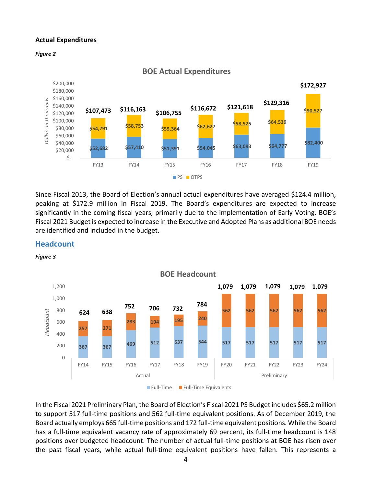#### **Actual Expenditures**





Since Fiscal 2013, the Board of Election's annual actual expenditures have averaged \$124.4 million, peaking at \$172.9 million in Fiscal 2019. The Board's expenditures are expected to increase significantly in the coming fiscal years, primarily due to the implementation of Early Voting. BOE's Fiscal 2021 Budget is expected to increase in the Executive and Adopted Plans as additional BOE needs are identified and included in the budget.

#### <span id="page-5-0"></span>**Headcount**





Full-Time Full-Time Equivalents

In the Fiscal 2021 Preliminary Plan, the Board of Election's Fiscal 2021 PS Budget includes \$65.2 million to support 517 full-time positions and 562 full-time equivalent positions. As of December 2019, the Board actually employs 665 full-time positions and 172 full-time equivalent positions. While the Board has a full-time equivalent vacancy rate of approximately 69 percent, its full-time headcount is 148 positions over budgeted headcount. The number of actual full-time positions at BOE has risen over the past fiscal years, while actual full-time equivalent positions have fallen. This represents a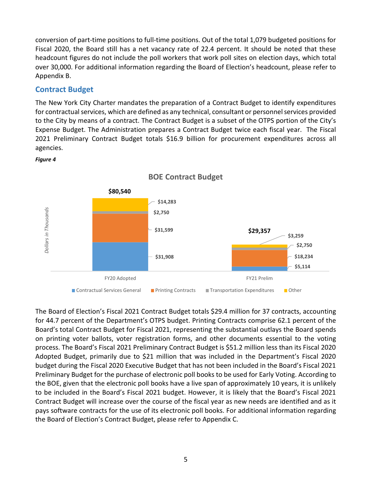conversion of part-time positions to full-time positions. Out of the total 1,079 budgeted positions for Fiscal 2020, the Board still has a net vacancy rate of 22.4 percent. It should be noted that these headcount figures do not include the poll workers that work poll sites on election days, which total over 30,000. For additional information regarding the Board of Election's headcount, please refer to Appendix B.

### <span id="page-6-0"></span>**Contract Budget**

The New York City Charter mandates the preparation of a Contract Budget to identify expenditures for contractual services, which are defined as any technical, consultant or personnel services provided to the City by means of a contract. The Contract Budget is a subset of the OTPS portion of the City's Expense Budget. The Administration prepares a Contract Budget twice each fiscal year. The Fiscal 2021 Preliminary Contract Budget totals \$16.9 billion for procurement expenditures across all agencies.



#### *Figure 4*

The Board of Election's Fiscal 2021 Contract Budget totals \$29.4 million for 37 contracts, accounting for 44.7 percent of the Department's OTPS budget. Printing Contracts comprise 62.1 percent of the Board's total Contract Budget for Fiscal 2021, representing the substantial outlays the Board spends on printing voter ballots, voter registration forms, and other documents essential to the voting process. The Board's Fiscal 2021 Preliminary Contract Budget is \$51.2 million less than its Fiscal 2020 Adopted Budget, primarily due to \$21 million that was included in the Department's Fiscal 2020 budget during the Fiscal 2020 Executive Budget that has not been included in the Board's Fiscal 2021 Preliminary Budget for the purchase of electronic poll books to be used for Early Voting. According to the BOE, given that the electronic poll books have a live span of approximately 10 years, it is unlikely to be included in the Board's Fiscal 2021 budget. However, it is likely that the Board's Fiscal 2021 Contract Budget will increase over the course of the fiscal year as new needs are identified and as it pays software contracts for the use of its electronic poll books. For additional information regarding the Board of Election's Contract Budget, please refer to Appendix C.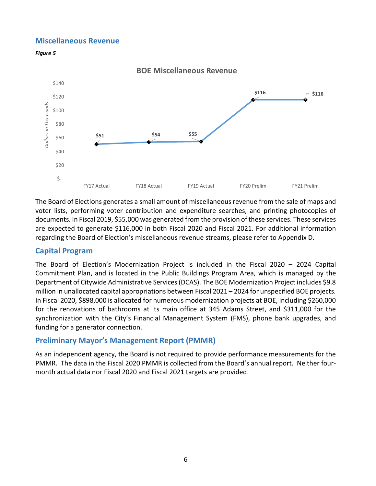### <span id="page-7-0"></span>**Miscellaneous Revenue**





The Board of Elections generates a small amount of miscellaneous revenue from the sale of maps and voter lists, performing voter contribution and expenditure searches, and printing photocopies of documents. In Fiscal 2019, \$55,000 was generated from the provision of these services. These services are expected to generate \$116,000 in both Fiscal 2020 and Fiscal 2021. For additional information regarding the Board of Election's miscellaneous revenue streams, please refer to Appendix D.

### <span id="page-7-1"></span>**Capital Program**

The Board of Election's Modernization Project is included in the Fiscal 2020 – 2024 Capital Commitment Plan, and is located in the Public Buildings Program Area, which is managed by the Department of Citywide Administrative Services (DCAS). The BOE Modernization Project includes \$9.8 million in unallocated capital appropriations between Fiscal 2021 – 2024 for unspecified BOE projects. In Fiscal 2020, \$898,000 is allocated for numerous modernization projects at BOE, including \$260,000 for the renovations of bathrooms at its main office at 345 Adams Street, and \$311,000 for the synchronization with the City's Financial Management System (FMS), phone bank upgrades, and funding for a generator connection.

# <span id="page-7-2"></span>**Preliminary Mayor's Management Report (PMMR)**

As an independent agency, the Board is not required to provide performance measurements for the PMMR. The data in the Fiscal 2020 PMMR is collected from the Board's annual report. Neither fourmonth actual data nor Fiscal 2020 and Fiscal 2021 targets are provided.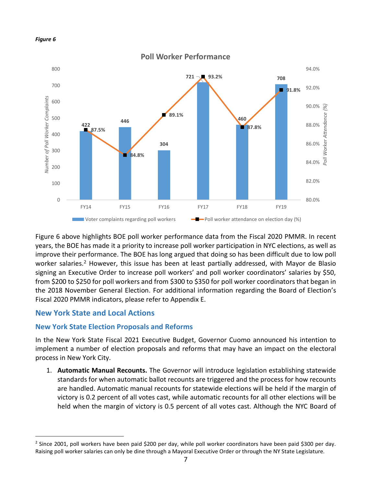

Figure 6 above highlights BOE poll worker performance data from the Fiscal 2020 PMMR. In recent years, the BOE has made it a priority to increase poll worker participation in NYC elections, as well as improve their performance. The BOE has long argued that doing so has been difficult due to low poll worker salaries.<sup>[2](#page-8-2)</sup> However, this issue has been at least partially addressed, with Mayor de Blasio signing an Executive Order to increase poll workers' and poll worker coordinators' salaries by \$50, from \$200 to \$250 for poll workers and from \$300 to \$350 for poll worker coordinators that began in the 2018 November General Election. For additional information regarding the Board of Election's Fiscal 2020 PMMR indicators, please refer to Appendix E.

# <span id="page-8-0"></span>**New York State and Local Actions**

# <span id="page-8-1"></span>**New York State Election Proposals and Reforms**

In the New York State Fiscal 2021 Executive Budget, Governor Cuomo announced his intention to implement a number of election proposals and reforms that may have an impact on the electoral process in New York City.

1. **Automatic Manual Recounts.** The Governor will introduce legislation establishing statewide standards for when automatic ballot recounts are triggered and the process for how recounts are handled. Automatic manual recounts for statewide elections will be held if the margin of victory is 0.2 percent of all votes cast, while automatic recounts for all other elections will be held when the margin of victory is 0.5 percent of all votes cast. Although the NYC Board of

<span id="page-8-2"></span><sup>&</sup>lt;sup>2</sup> Since 2001, poll workers have been paid \$200 per day, while poll worker coordinators have been paid \$300 per day. Raising poll worker salaries can only be dine through a Mayoral Executive Order or through the NY State Legislature.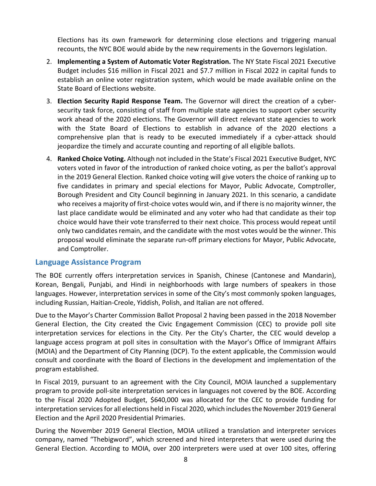Elections has its own framework for determining close elections and triggering manual recounts, the NYC BOE would abide by the new requirements in the Governors legislation.

- 2. **Implementing a System of Automatic Voter Registration.** The NY State Fiscal 2021 Executive Budget includes \$16 million in Fiscal 2021 and \$7.7 million in Fiscal 2022 in capital funds to establish an online voter registration system, which would be made available online on the State Board of Elections website.
- 3. **Election Security Rapid Response Team.** The Governor will direct the creation of a cybersecurity task force, consisting of staff from multiple state agencies to support cyber security work ahead of the 2020 elections. The Governor will direct relevant state agencies to work with the State Board of Elections to establish in advance of the 2020 elections a comprehensive plan that is ready to be executed immediately if a cyber-attack should jeopardize the timely and accurate counting and reporting of all eligible ballots.
- 4. **Ranked Choice Voting.** Although not included in the State's Fiscal 2021 Executive Budget, NYC voters voted in favor of the introduction of ranked choice voting, as per the ballot's approval in the 2019 General Election. Ranked choice voting will give voters the choice of ranking up to five candidates in primary and special elections for Mayor, Public Advocate, Comptroller, Borough President and City Council beginning in January 2021. In this scenario, a candidate who receives a majority of first-choice votes would win, and if there is no majority winner, the last place candidate would be eliminated and any voter who had that candidate as their top choice would have their vote transferred to their next choice. This process would repeat until only two candidates remain, and the candidate with the most votes would be the winner. This proposal would eliminate the separate run-off primary elections for Mayor, Public Advocate, and Comptroller.

### <span id="page-9-0"></span>**Language Assistance Program**

The BOE currently offers interpretation services in Spanish, Chinese (Cantonese and Mandarin), Korean, Bengali, Punjabi, and Hindi in neighborhoods with large numbers of speakers in those languages. However, interpretation services in some of the City's most commonly spoken languages, including Russian, Haitian-Creole, Yiddish, Polish, and Italian are not offered.

Due to the Mayor's Charter Commission Ballot Proposal 2 having been passed in the 2018 November General Election, the City created the Civic Engagement Commission (CEC) to provide poll site interpretation services for elections in the City. Per the City's Charter, the CEC would develop a language access program at poll sites in consultation with the Mayor's Office of Immigrant Affairs (MOIA) and the Department of City Planning (DCP). To the extent applicable, the Commission would consult and coordinate with the Board of Elections in the development and implementation of the program established.

In Fiscal 2019, pursuant to an agreement with the City Council, MOIA launched a supplementary program to provide poll-site interpretation services in languages not covered by the BOE. According to the Fiscal 2020 Adopted Budget, \$640,000 was allocated for the CEC to provide funding for interpretation services for all elections held in Fiscal 2020, which includes the November 2019 General Election and the April 2020 Presidential Primaries.

During the November 2019 General Election, MOIA utilized a translation and interpreter services company, named "Thebigword", which screened and hired interpreters that were used during the General Election. According to MOIA, over 200 interpreters were used at over 100 sites, offering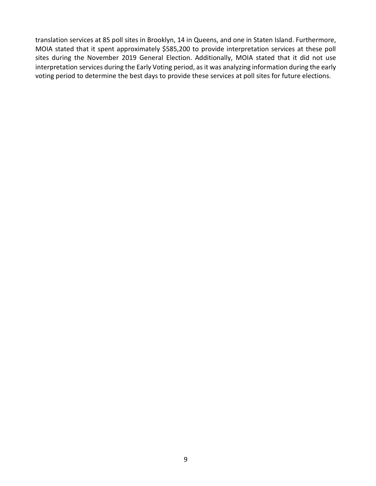translation services at 85 poll sites in Brooklyn, 14 in Queens, and one in Staten Island. Furthermore, MOIA stated that it spent approximately \$585,200 to provide interpretation services at these poll sites during the November 2019 General Election. Additionally, MOIA stated that it did not use interpretation services during the Early Voting period, as it was analyzing information during the early voting period to determine the best days to provide these services at poll sites for future elections.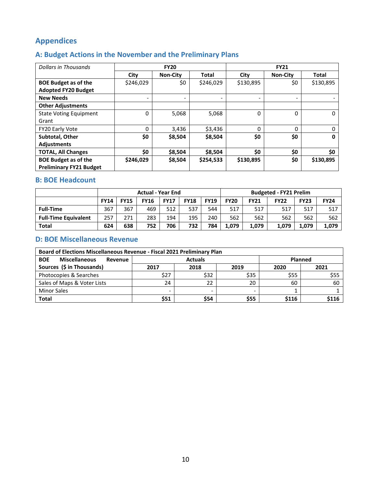# <span id="page-11-0"></span>**Appendices**

# <span id="page-11-1"></span>**A: Budget Actions in the November and the Preliminary Plans**

| Dollars in Thousands           |           | <b>FY20</b>              |              | <b>FY21</b> |                          |              |  |  |  |
|--------------------------------|-----------|--------------------------|--------------|-------------|--------------------------|--------------|--|--|--|
|                                | City      | <b>Non-City</b>          | <b>Total</b> | City        | <b>Non-City</b>          | <b>Total</b> |  |  |  |
| <b>BOE Budget as of the</b>    | \$246,029 | \$0                      | \$246,029    | \$130,895   | \$0                      | \$130,895    |  |  |  |
| <b>Adopted FY20 Budget</b>     |           |                          |              |             |                          |              |  |  |  |
| <b>New Needs</b>               |           | $\overline{\phantom{0}}$ |              |             | $\overline{\phantom{0}}$ |              |  |  |  |
| <b>Other Adjustments</b>       |           |                          |              |             |                          |              |  |  |  |
| <b>State Voting Equipment</b>  |           | 5,068                    | 5,068        | 0           | 0                        | $\Omega$     |  |  |  |
| Grant                          |           |                          |              |             |                          |              |  |  |  |
| <b>FY20 Early Vote</b>         | 0         | 3,436                    | \$3,436      | 0           | 0                        |              |  |  |  |
| Subtotal, Other                | \$0       | \$8,504                  | \$8,504      | \$0         | \$0                      | 0            |  |  |  |
| Adjustments                    |           |                          |              |             |                          |              |  |  |  |
| <b>TOTAL, All Changes</b>      | \$0       | \$8,504                  | \$8,504      | \$0         | \$0                      | \$0          |  |  |  |
| <b>BOE Budget as of the</b>    | \$246,029 | \$8,504                  | \$254,533    | \$130,895   | \$0                      | \$130,895    |  |  |  |
| <b>Preliminary FY21 Budget</b> |           |                          |              |             |                          |              |  |  |  |

### <span id="page-11-2"></span>**B: BOE Headcount**

|                             | <b>Actual - Year End</b> |             |             |             |             | <b>Budgeted - FY21 Prelim</b> |             |             |             |             |             |
|-----------------------------|--------------------------|-------------|-------------|-------------|-------------|-------------------------------|-------------|-------------|-------------|-------------|-------------|
|                             | <b>FY14</b>              | <b>FY15</b> | <b>FY16</b> | <b>FY17</b> | <b>FY18</b> | <b>FY19</b>                   | <b>FY20</b> | <b>FY21</b> | <b>FY22</b> | <b>FY23</b> | <b>FY24</b> |
| <b>Full-Time</b>            | 367                      | 367         | 469         | 512         | 537         | 544                           | 517         | 517         | 517         | 517         | 517         |
| <b>Full-Time Equivalent</b> | 257                      | 271         | 283         | 194         | 195         | 240                           | 562         | 562         | 562         | 562         | 562         |
| <b>Total</b>                | 624                      | 638         | 752         | 706         | 732         | 784                           | 1.079       | 1.079       | 1.079       | 1.079       | 1,079       |

# <span id="page-11-3"></span>**D: BOE Miscellaneous Revenue**

| Board of Elections Miscellaneous Revenue - Fiscal 2021 Preliminary Plan |                                      |         |      |       |      |  |  |  |  |  |
|-------------------------------------------------------------------------|--------------------------------------|---------|------|-------|------|--|--|--|--|--|
| <b>Miscellaneous</b><br><b>BOE</b><br>Revenue                           |                                      | Planned |      |       |      |  |  |  |  |  |
| Sources (\$ in Thousands)                                               | 2018<br>2019<br>2021<br>2017<br>2020 |         |      |       |      |  |  |  |  |  |
| Photocopies & Searches                                                  | \$27                                 | \$32    | \$35 | \$55  | \$55 |  |  |  |  |  |
| Sales of Maps & Voter Lists                                             | 24                                   | 22      | 20   | 60    | 60   |  |  |  |  |  |
| <b>Minor Sales</b>                                                      | $\overline{\phantom{0}}$             |         | -    |       |      |  |  |  |  |  |
| <b>Total</b>                                                            | \$51                                 | \$54    | \$55 | \$116 | S116 |  |  |  |  |  |